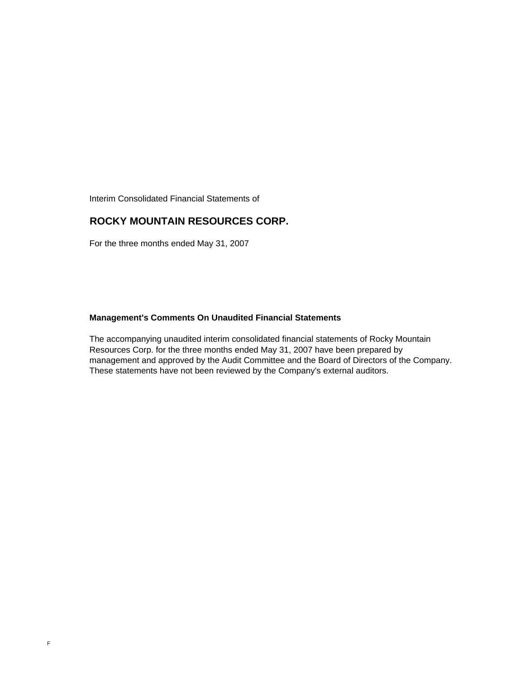Interim Consolidated Financial Statements of

### **ROCKY MOUNTAIN RESOURCES CORP.**

For the three months ended May 31, 2007

#### **Management's Comments On Unaudited Financial Statements**

The accompanying unaudited interim consolidated financial statements of Rocky Mountain Resources Corp. for the three months ended May 31, 2007 have been prepared by management and approved by the Audit Committee and the Board of Directors of the Company. These statements have not been reviewed by the Company's external auditors.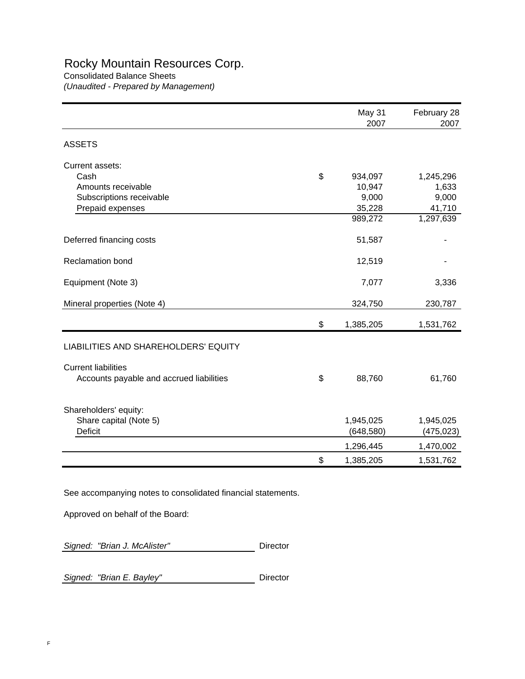# Rocky Mountain Resources Corp.

Consolidated Balance Sheets *(Unaudited - Prepared by Management)*

|                                          | May 31<br>2007  | February 28<br>2007 |
|------------------------------------------|-----------------|---------------------|
| <b>ASSETS</b>                            |                 |                     |
| Current assets:                          |                 |                     |
| Cash                                     | \$<br>934,097   | 1,245,296           |
| Amounts receivable                       | 10,947          | 1,633               |
| Subscriptions receivable                 | 9,000           | 9,000               |
| Prepaid expenses                         | 35,228          | 41,710              |
|                                          | 989,272         | 1,297,639           |
| Deferred financing costs                 | 51,587          |                     |
| <b>Reclamation bond</b>                  | 12,519          |                     |
| Equipment (Note 3)                       | 7,077           | 3,336               |
| Mineral properties (Note 4)              | 324,750         | 230,787             |
|                                          | \$<br>1,385,205 | 1,531,762           |
| LIABILITIES AND SHAREHOLDERS' EQUITY     |                 |                     |
| <b>Current liabilities</b>               |                 |                     |
| Accounts payable and accrued liabilities | \$<br>88,760    | 61,760              |
| Shareholders' equity:                    |                 |                     |
| Share capital (Note 5)                   | 1,945,025       | 1,945,025           |
| Deficit                                  | (648, 580)      | (475, 023)          |
|                                          | 1,296,445       | 1,470,002           |
|                                          | \$<br>1,385,205 | 1,531,762           |

See accompanying notes to consolidated financial statements.

Approved on behalf of the Board:

**Signed: "Brian J. McAlister"** Director

**Signed: "Brian E. Bayley"** Director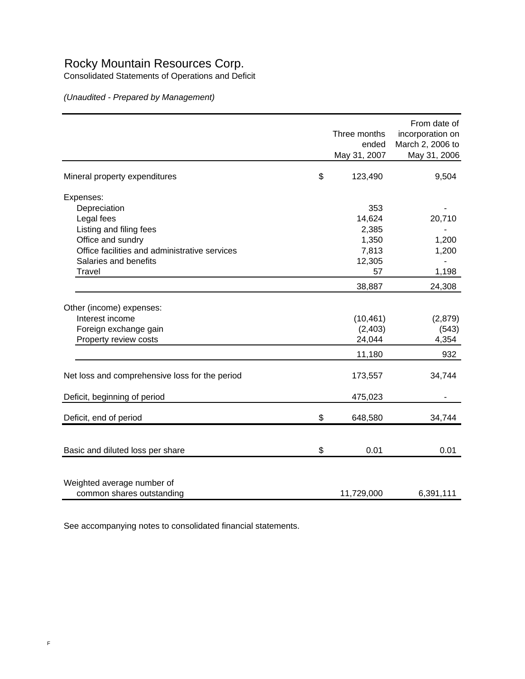## Rocky Mountain Resources Corp.

Consolidated Statements of Operations and Deficit

*(Unaudited - Prepared by Management)*

|                                                | Three months<br>ended<br>May 31, 2007 | From date of<br>incorporation on<br>March 2, 2006 to<br>May 31, 2006 |
|------------------------------------------------|---------------------------------------|----------------------------------------------------------------------|
| Mineral property expenditures                  | \$<br>123,490                         | 9,504                                                                |
| Expenses:                                      |                                       |                                                                      |
| Depreciation                                   | 353                                   |                                                                      |
| Legal fees                                     | 14,624                                | 20,710                                                               |
| Listing and filing fees                        | 2,385                                 |                                                                      |
| Office and sundry                              | 1,350                                 | 1,200                                                                |
| Office facilities and administrative services  | 7,813                                 | 1,200                                                                |
| Salaries and benefits                          | 12,305                                |                                                                      |
| Travel                                         | 57                                    | 1,198                                                                |
|                                                | 38,887                                | 24,308                                                               |
| Other (income) expenses:                       |                                       |                                                                      |
| Interest income                                | (10, 461)                             | (2,879)                                                              |
| Foreign exchange gain                          | (2, 403)                              | (543)                                                                |
| Property review costs                          | 24,044                                | 4,354                                                                |
|                                                | 11,180                                | 932                                                                  |
|                                                |                                       |                                                                      |
| Net loss and comprehensive loss for the period | 173,557                               | 34,744                                                               |
| Deficit, beginning of period                   | 475,023                               |                                                                      |
| Deficit, end of period                         | \$<br>648,580                         | 34,744                                                               |
|                                                |                                       |                                                                      |
| Basic and diluted loss per share               | \$<br>0.01                            | 0.01                                                                 |
|                                                |                                       |                                                                      |
| Weighted average number of                     |                                       |                                                                      |
| common shares outstanding                      | 11,729,000                            | 6,391,111                                                            |

See accompanying notes to consolidated financial statements.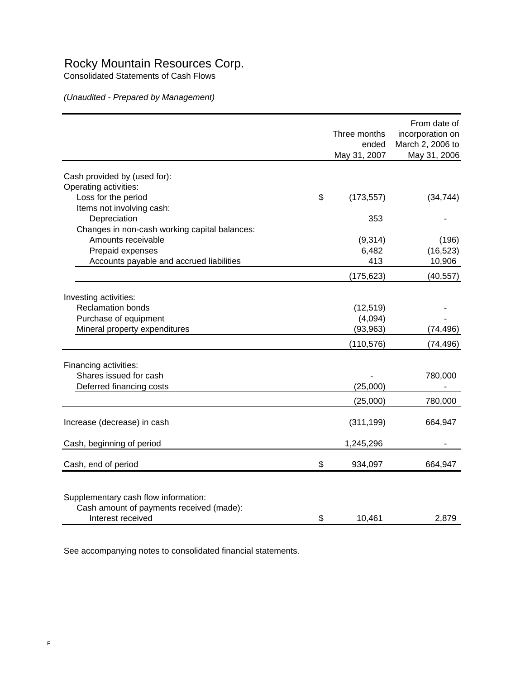## Rocky Mountain Resources Corp.

Consolidated Statements of Cash Flows

*(Unaudited - Prepared by Management)*

|                                               | Three months<br>ended<br>May 31, 2007 | From date of<br>incorporation on<br>March 2, 2006 to<br>May 31, 2006 |
|-----------------------------------------------|---------------------------------------|----------------------------------------------------------------------|
|                                               |                                       |                                                                      |
| Cash provided by (used for):                  |                                       |                                                                      |
| Operating activities:                         |                                       |                                                                      |
| Loss for the period                           | \$<br>(173, 557)                      | (34, 744)                                                            |
| Items not involving cash:                     |                                       |                                                                      |
| Depreciation                                  | 353                                   |                                                                      |
| Changes in non-cash working capital balances: |                                       |                                                                      |
| Amounts receivable                            | (9,314)                               | (196)                                                                |
| Prepaid expenses                              | 6,482                                 | (16, 523)                                                            |
| Accounts payable and accrued liabilities      | 413                                   | 10,906                                                               |
|                                               | (175, 623)                            | (40, 557)                                                            |
| Investing activities:                         |                                       |                                                                      |
| <b>Reclamation bonds</b>                      | (12, 519)                             |                                                                      |
| Purchase of equipment                         | (4,094)                               |                                                                      |
| Mineral property expenditures                 | (93, 963)                             | (74, 496)                                                            |
|                                               |                                       |                                                                      |
|                                               | (110, 576)                            | (74, 496)                                                            |
| Financing activities:                         |                                       |                                                                      |
| Shares issued for cash                        |                                       | 780,000                                                              |
| Deferred financing costs                      | (25,000)                              |                                                                      |
|                                               | (25,000)                              | 780,000                                                              |
|                                               |                                       |                                                                      |
| Increase (decrease) in cash                   | (311, 199)                            | 664,947                                                              |
| Cash, beginning of period                     | 1,245,296                             |                                                                      |
| Cash, end of period                           | \$<br>934,097                         | 664,947                                                              |
|                                               |                                       |                                                                      |
| Supplementary cash flow information:          |                                       |                                                                      |
| Cash amount of payments received (made):      |                                       |                                                                      |
| Interest received                             | \$<br>10,461                          | 2,879                                                                |

See accompanying notes to consolidated financial statements.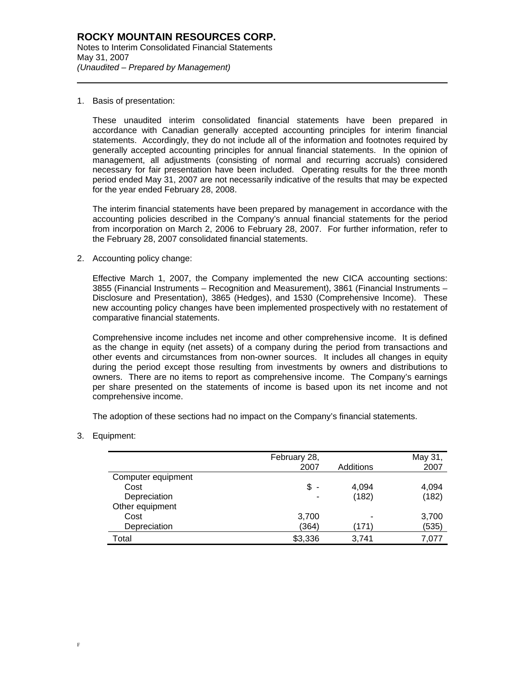1. Basis of presentation:

l

These unaudited interim consolidated financial statements have been prepared in accordance with Canadian generally accepted accounting principles for interim financial statements. Accordingly, they do not include all of the information and footnotes required by generally accepted accounting principles for annual financial statements. In the opinion of management, all adjustments (consisting of normal and recurring accruals) considered necessary for fair presentation have been included. Operating results for the three month period ended May 31, 2007 are not necessarily indicative of the results that may be expected for the year ended February 28, 2008.

The interim financial statements have been prepared by management in accordance with the accounting policies described in the Company's annual financial statements for the period from incorporation on March 2, 2006 to February 28, 2007. For further information, refer to the February 28, 2007 consolidated financial statements.

2. Accounting policy change:

Effective March 1, 2007, the Company implemented the new CICA accounting sections: 3855 (Financial Instruments – Recognition and Measurement), 3861 (Financial Instruments – Disclosure and Presentation), 3865 (Hedges), and 1530 (Comprehensive Income). These new accounting policy changes have been implemented prospectively with no restatement of comparative financial statements.

Comprehensive income includes net income and other comprehensive income. It is defined as the change in equity (net assets) of a company during the period from transactions and other events and circumstances from non-owner sources. It includes all changes in equity during the period except those resulting from investments by owners and distributions to owners. There are no items to report as comprehensive income. The Company's earnings per share presented on the statements of income is based upon its net income and not comprehensive income.

The adoption of these sections had no impact on the Company's financial statements.

3. Equipment:

|                    | February 28,<br>2007 | Additions | May 31,<br>2007 |
|--------------------|----------------------|-----------|-----------------|
|                    |                      |           |                 |
| Computer equipment |                      |           |                 |
| Cost               | \$<br>$\blacksquare$ | 4,094     | 4,094           |
| Depreciation       | ٠                    | (182)     | (182)           |
| Other equipment    |                      |           |                 |
| Cost               | 3,700                |           | 3,700           |
| Depreciation       | (364)                | (171)     | (535)           |
| Total              | \$3,336              | 3,741     | 7,077           |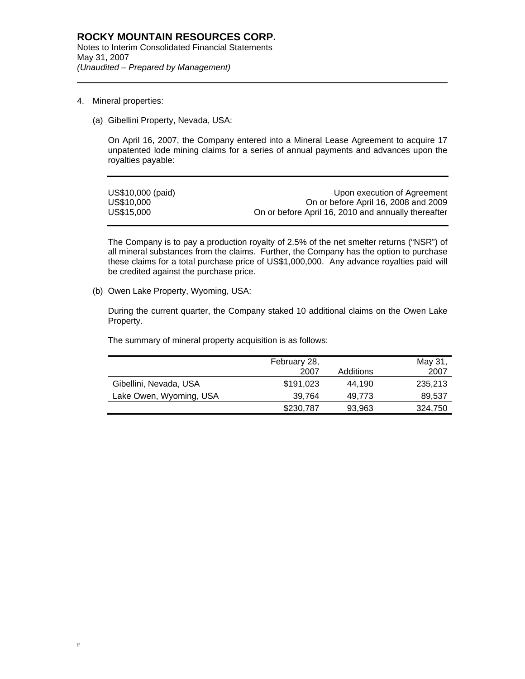4. Mineral properties:

l

(a) Gibellini Property, Nevada, USA:

On April 16, 2007, the Company entered into a Mineral Lease Agreement to acquire 17 unpatented lode mining claims for a series of annual payments and advances upon the royalties payable:

| US\$10,000 (paid) | Upon execution of Agreement                         |
|-------------------|-----------------------------------------------------|
| US\$10,000        | On or before April 16, 2008 and 2009                |
| US\$15,000        | On or before April 16, 2010 and annually thereafter |

The Company is to pay a production royalty of 2.5% of the net smelter returns ("NSR") of all mineral substances from the claims. Further, the Company has the option to purchase these claims for a total purchase price of US\$1,000,000. Any advance royalties paid will be credited against the purchase price.

(b) Owen Lake Property, Wyoming, USA:

During the current quarter, the Company staked 10 additional claims on the Owen Lake Property.

The summary of mineral property acquisition is as follows:

|                         | February 28,<br>2007 | Additions | May 31,<br>2007 |
|-------------------------|----------------------|-----------|-----------------|
| Gibellini, Nevada, USA  | \$191,023            | 44.190    | 235,213         |
| Lake Owen, Wyoming, USA | 39,764               | 49.773    | 89,537          |
|                         | \$230,787            | 93,963    | 324,750         |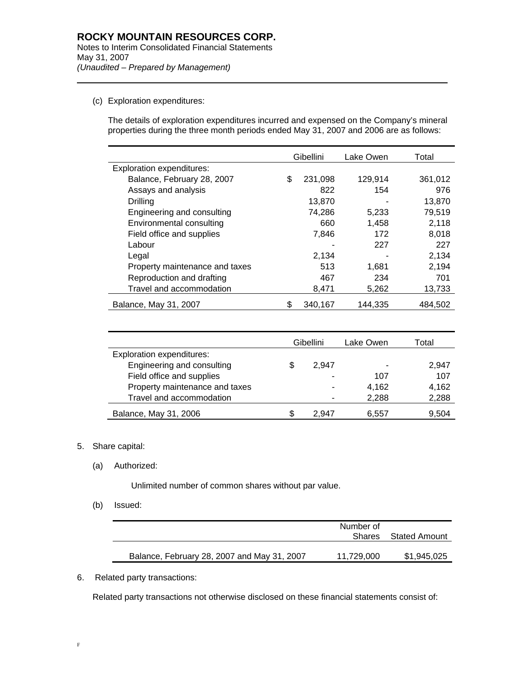(c) Exploration expenditures:

l

The details of exploration expenditures incurred and expensed on the Company's mineral properties during the three month periods ended May 31, 2007 and 2006 are as follows:

|                                  | Gibellini     | Lake Owen | Total   |
|----------------------------------|---------------|-----------|---------|
| <b>Exploration expenditures:</b> |               |           |         |
| Balance, February 28, 2007       | \$<br>231.098 | 129.914   | 361,012 |
| Assays and analysis              | 822           | 154       | 976     |
| Drilling                         | 13,870        |           | 13,870  |
| Engineering and consulting       | 74,286        | 5,233     | 79,519  |
| Environmental consulting         | 660           | 1,458     | 2.118   |
| Field office and supplies        | 7,846         | 172       | 8.018   |
| Labour                           |               | 227       | 227     |
| Legal                            | 2,134         |           | 2,134   |
| Property maintenance and taxes   | 513           | 1.681     | 2,194   |
| Reproduction and drafting        | 467           | 234       | 701     |
| Travel and accommodation         | 8,471         | 5,262     | 13,733  |
| Balance, May 31, 2007            | 340.167       | 144.335   | 484.502 |

|                                  |   | Gibellini | Lake Owen | Total |
|----------------------------------|---|-----------|-----------|-------|
| <b>Exploration expenditures:</b> |   |           |           |       |
| Engineering and consulting       |   | 2.947     |           | 2,947 |
| Field office and supplies        |   | -         | 107       | 107   |
| Property maintenance and taxes   |   | ۰         | 4.162     | 4.162 |
| Travel and accommodation         |   | ٠         | 2,288     | 2,288 |
| Balance, May 31, 2006            | S | 2.947     | 6,557     | 9.504 |

#### 5. Share capital:

(a) Authorized:

Unlimited number of common shares without par value.

(b) Issued:

|                                             | Number of<br>Shares | Stated Amount |
|---------------------------------------------|---------------------|---------------|
| Balance, February 28, 2007 and May 31, 2007 | 11,729,000          | \$1,945,025   |

6. Related party transactions:

Related party transactions not otherwise disclosed on these financial statements consist of: